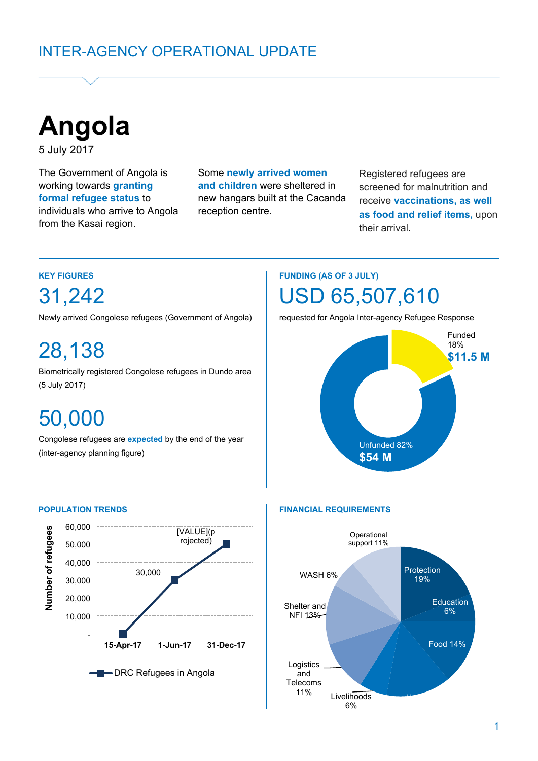

5 July 2017

The Government of Angola is working towards **granting formal refugee status** to individuals who arrive to Angola from the Kasai region.

Some **newly arrived women and children** were sheltered in new hangars built at the Cacanda reception centre.

Registered refugees are screened for malnutrition and receive **vaccinations, as well as food and relief items,** upon their arrival.

### **KEY FIGURES**

31,242

Newly arrived Congolese refugees (Government of Angola)

# 28,138

Biometrically registered Congolese refugees in Dundo area (5 July 2017) (5 July 2017)**. June)**

# 50,000

Congolese refugees are **expected** by the end of the year (inter-agency planning figure)

# **FUNDING (AS OF 3 JULY)** USD 65,507,610

requested for Angola Inter-agency Refugee Response





#### **POPULATION TRENDS FINANCIAL REQUIREMENTS**

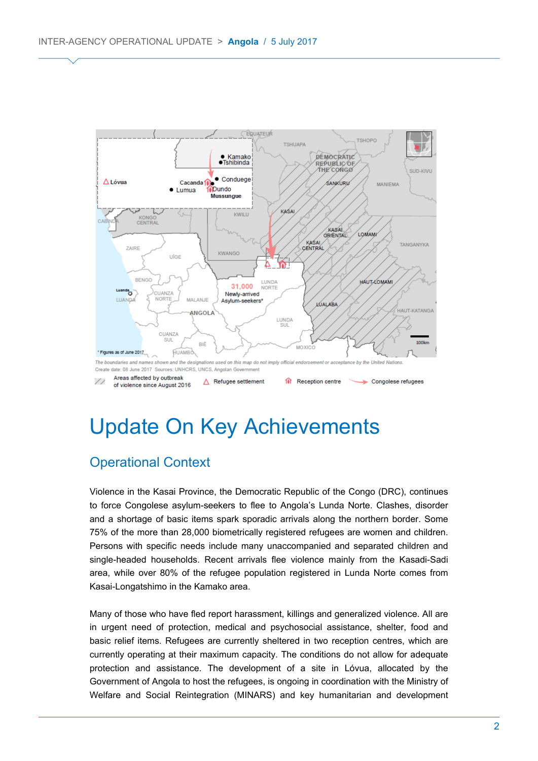

# Update On Key Achievements

# Operational Context

Violence in the Kasai Province, the Democratic Republic of the Congo (DRC), continues to force Congolese asylum-seekers to flee to Angola's Lunda Norte. Clashes, disorder and a shortage of basic items spark sporadic arrivals along the northern border. Some 75% of the more than 28,000 biometrically registered refugees are women and children. Persons with specific needs include many unaccompanied and separated children and single-headed households. Recent arrivals flee violence mainly from the Kasadi-Sadi area, while over 80% of the refugee population registered in Lunda Norte comes from Kasai-Longatshimo in the Kamako area.

Many of those who have fled report harassment, killings and generalized violence. All are in urgent need of protection, medical and psychosocial assistance, shelter, food and basic relief items. Refugees are currently sheltered in two reception centres, which are currently operating at their maximum capacity. The conditions do not allow for adequate protection and assistance. The development of a site in Lóvua, allocated by the Government of Angola to host the refugees, is ongoing in coordination with the Ministry of Welfare and Social Reintegration (MINARS) and key humanitarian and development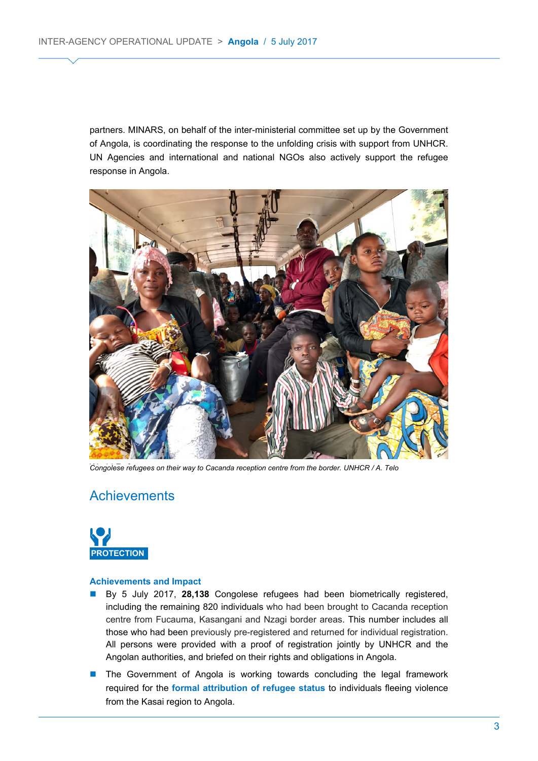partners. MINARS, on behalf of the inter-ministerial committee set up by the Government of Angola, is coordinating the response to the unfolding crisis with support from UNHCR. UN Agencies and international and national NGOs also actively support the refugee response in Angola.



Congolese refugees on their way to Cacanda reception centre from the border. UNHCR / A. Telo

# **Achievements**



#### **Achievements and Impact**

- By 5 July 2017, **28,138** Congolese refugees had been biometrically registered, including the remaining 820 individuals who had been brought to Cacanda reception centre from Fucauma, Kasangani and Nzagi border areas. This number includes all those who had been previously pre-registered and returned for individual registration. All persons were provided with a proof of registration jointly by UNHCR and the Angolan authorities, and briefed on their rights and obligations in Angola.
- **The Government of Angola is working towards concluding the legal framework** required for the **formal attribution of refugee status** to individuals fleeing violence from the Kasai region to Angola.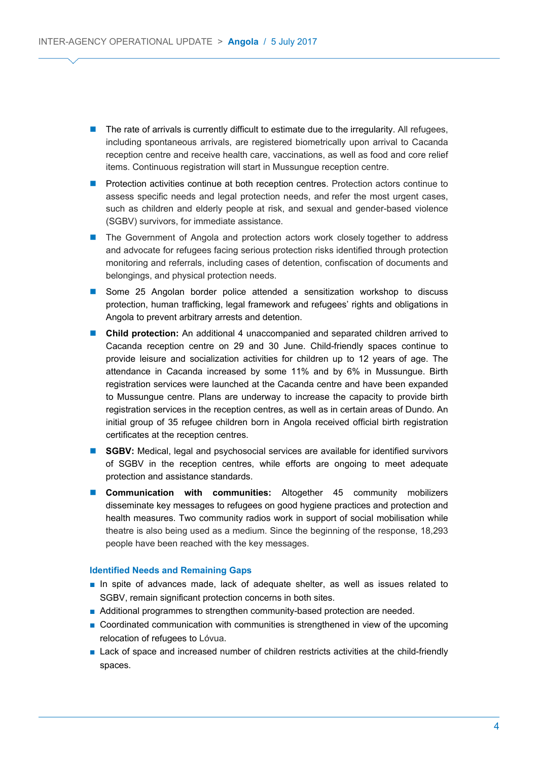- The rate of arrivals is currently difficult to estimate due to the irregularity. All refugees, including spontaneous arrivals, are registered biometrically upon arrival to Cacanda reception centre and receive health care, vaccinations, as well as food and core relief items. Continuous registration will start in Mussungue reception centre.
- **Protection activities continue at both reception centres. Protection actors continue to** assess specific needs and legal protection needs, and refer the most urgent cases, such as children and elderly people at risk, and sexual and gender-based violence (SGBV) survivors, for immediate assistance.
- **The Government of Angola and protection actors work closely together to address** and advocate for refugees facing serious protection risks identified through protection monitoring and referrals, including cases of detention, confiscation of documents and belongings, and physical protection needs.
- **Some 25 Angolan border police attended a sensitization workshop to discuss** protection, human trafficking, legal framework and refugees' rights and obligations in Angola to prevent arbitrary arrests and detention.
- **Child protection:** An additional 4 unaccompanied and separated children arrived to Cacanda reception centre on 29 and 30 June. Child-friendly spaces continue to provide leisure and socialization activities for children up to 12 years of age. The attendance in Cacanda increased by some 11% and by 6% in Mussungue. Birth registration services were launched at the Cacanda centre and have been expanded to Mussungue centre. Plans are underway to increase the capacity to provide birth registration services in the reception centres, as well as in certain areas of Dundo. An initial group of 35 refugee children born in Angola received official birth registration certificates at the reception centres.
- **SGBV:** Medical, legal and psychosocial services are available for identified survivors of SGBV in the reception centres, while efforts are ongoing to meet adequate protection and assistance standards.
- **Communication with communities:** Altogether 45 community mobilizers disseminate key messages to refugees on good hygiene practices and protection and health measures. Two community radios work in support of social mobilisation while theatre is also being used as a medium. Since the beginning of the response, 18,293 people have been reached with the key messages.

#### **Identified Needs and Remaining Gaps**

- In spite of advances made, lack of adequate shelter, as well as issues related to SGBV, remain significant protection concerns in both sites.
- Additional programmes to strengthen community-based protection are needed.
- Coordinated communication with communities is strengthened in view of the upcoming relocation of refugees to Lóvua.
- Lack of space and increased number of children restricts activities at the child-friendly spaces.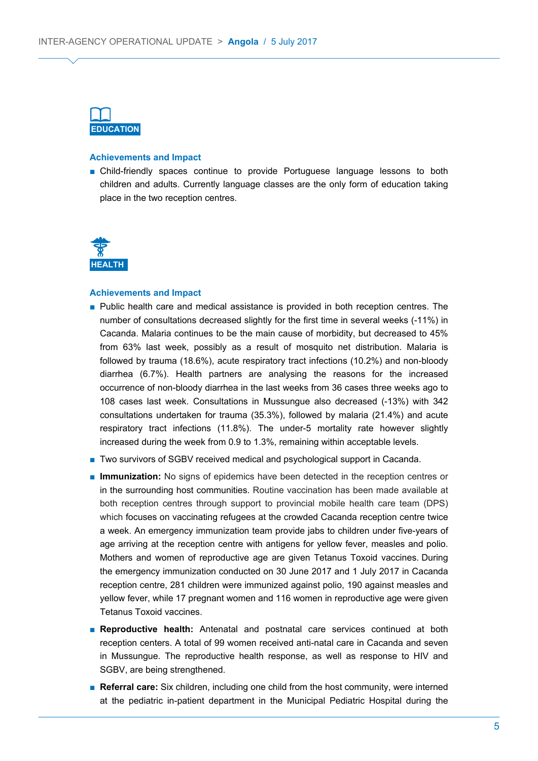

#### **Achievements and Impact**

■ Child-friendly spaces continue to provide Portuguese language lessons to both children and adults. Currently language classes are the only form of education taking place in the two reception centres.



#### **Achievements and Impact**

- Public health care and medical assistance is provided in both reception centres. The number of consultations decreased slightly for the first time in several weeks (-11%) in Cacanda. Malaria continues to be the main cause of morbidity, but decreased to 45% from 63% last week, possibly as a result of mosquito net distribution. Malaria is followed by trauma (18.6%), acute respiratory tract infections (10.2%) and non-bloody diarrhea (6.7%). Health partners are analysing the reasons for the increased occurrence of non-bloody diarrhea in the last weeks from 36 cases three weeks ago to 108 cases last week. Consultations in Mussungue also decreased (-13%) with 342 consultations undertaken for trauma (35.3%), followed by malaria (21.4%) and acute respiratory tract infections (11.8%). The under-5 mortality rate however slightly increased during the week from 0.9 to 1.3%, remaining within acceptable levels.
- Two survivors of SGBV received medical and psychological support in Cacanda.
- **Immunization:** No signs of epidemics have been detected in the reception centres or in the surrounding host communities. Routine vaccination has been made available at both reception centres through support to provincial mobile health care team (DPS) which focuses on vaccinating refugees at the crowded Cacanda reception centre twice a week. An emergency immunization team provide jabs to children under five-years of age arriving at the reception centre with antigens for yellow fever, measles and polio. Mothers and women of reproductive age are given Tetanus Toxoid vaccines. During the emergency immunization conducted on 30 June 2017 and 1 July 2017 in Cacanda reception centre, 281 children were immunized against polio, 190 against measles and yellow fever, while 17 pregnant women and 116 women in reproductive age were given Tetanus Toxoid vaccines.
- **Reproductive health:** Antenatal and postnatal care services continued at both reception centers. A total of 99 women received anti-natal care in Cacanda and seven in Mussungue. The reproductive health response, as well as response to HIV and SGBV, are being strengthened.
- **Referral care:** Six children, including one child from the host community, were interned at the pediatric in-patient department in the Municipal Pediatric Hospital during the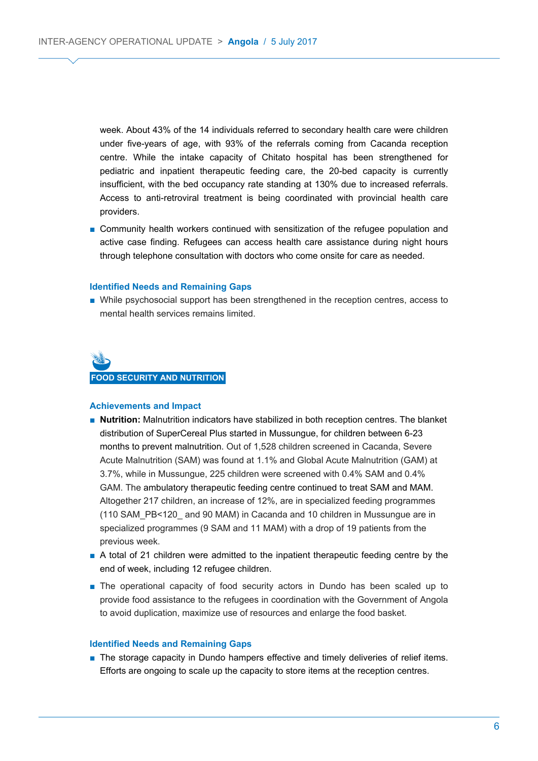week. About 43% of the 14 individuals referred to secondary health care were children under five-years of age, with 93% of the referrals coming from Cacanda reception centre. While the intake capacity of Chitato hospital has been strengthened for pediatric and inpatient therapeutic feeding care, the 20-bed capacity is currently insufficient, with the bed occupancy rate standing at 130% due to increased referrals. Access to anti-retroviral treatment is being coordinated with provincial health care providers.

■ Community health workers continued with sensitization of the refugee population and active case finding. Refugees can access health care assistance during night hours through telephone consultation with doctors who come onsite for care as needed.

#### **Identified Needs and Remaining Gaps**

■ While psychosocial support has been strengthened in the reception centres, access to mental health services remains limited.



#### **Achievements and Impact**

- **Nutrition:** Malnutrition indicators have stabilized in both reception centres. The blanket distribution of SuperCereal Plus started in Mussungue, for children between 6-23 months to prevent malnutrition. Out of 1,528 children screened in Cacanda, Severe Acute Malnutrition (SAM) was found at 1.1% and Global Acute Malnutrition (GAM) at 3.7%, while in Mussungue, 225 children were screened with 0.4% SAM and 0.4% GAM. The ambulatory therapeutic feeding centre continued to treat SAM and MAM. Altogether 217 children, an increase of 12%, are in specialized feeding programmes (110 SAM\_PB<120\_ and 90 MAM) in Cacanda and 10 children in Mussungue are in specialized programmes (9 SAM and 11 MAM) with a drop of 19 patients from the previous week.
- A total of 21 children were admitted to the inpatient therapeutic feeding centre by the end of week, including 12 refugee children.
- The operational capacity of food security actors in Dundo has been scaled up to provide food assistance to the refugees in coordination with the Government of Angola to avoid duplication, maximize use of resources and enlarge the food basket.

#### **Identified Needs and Remaining Gaps**

■ The storage capacity in Dundo hampers effective and timely deliveries of relief items. Efforts are ongoing to scale up the capacity to store items at the reception centres.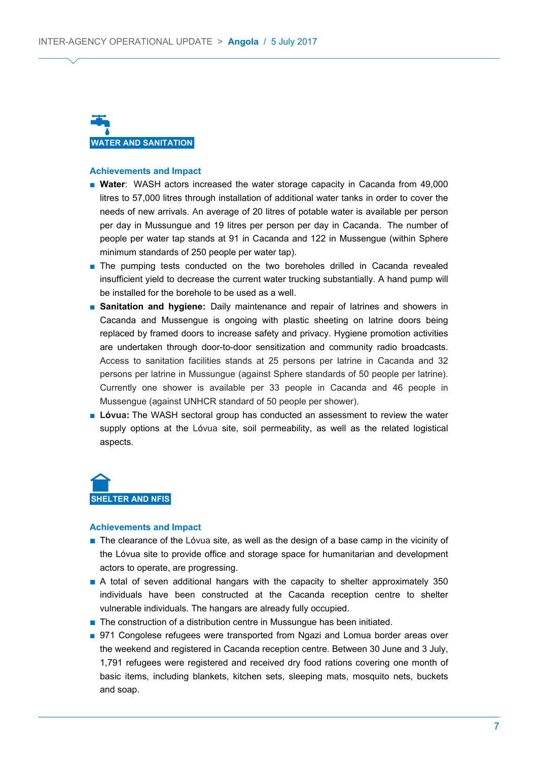

#### **Achievements and Impact**

- **Water**: WASH actors increased the water storage capacity in Cacanda from 49,000 litres to 57,000 litres through installation of additional water tanks in order to cover the needs of new arrivals. An average of 20 litres of potable water is available per person per day in Mussungue and 19 litres per person per day in Cacanda. The number of people per water tap stands at 91 in Cacanda and 122 in Mussengue (within Sphere minimum standards of 250 people per water tap).
- The pumping tests conducted on the two boreholes drilled in Cacanda revealed insufficient yield to decrease the current water trucking substantially. A hand pump will be installed for the borehole to be used as a well.
- **Sanitation and hygiene:** Daily maintenance and repair of latrines and showers in Cacanda and Mussengue is ongoing with plastic sheeting on latrine doors being replaced by framed doors to increase safety and privacy. Hygiene promotion activities are undertaken through door-to-door sensitization and community radio broadcasts. Access to sanitation facilities stands at 25 persons per latrine in Cacanda and 32 persons per latrine in Mussungue (against Sphere standards of 50 people per latrine). Currently one shower is available per 33 people in Cacanda and 46 people in Mussengue (against UNHCR standard of 50 people per shower).
- **Lóvua:** The WASH sectoral group has conducted an assessment to review the water supply options at the Lóvua site, soil permeability, as well as the related logistical aspects.

**SHELTER AND NFIS**

#### **Achievements and Impact**

- The clearance of the Lóvua site, as well as the design of a base camp in the vicinity of the Lóvua site to provide office and storage space for humanitarian and development actors to operate, are progressing.
- A total of seven additional hangars with the capacity to shelter approximately 350 individuals have been constructed at the Cacanda reception centre to shelter vulnerable individuals. The hangars are already fully occupied.
- The construction of a distribution centre in Mussungue has been initiated.
- 971 Congolese refugees were transported from Ngazi and Lomua border areas over the weekend and registered in Cacanda reception centre. Between 30 June and 3 July, 1,791 refugees were registered and received dry food rations covering one month of basic items, including blankets, kitchen sets, sleeping mats, mosquito nets, buckets and soap.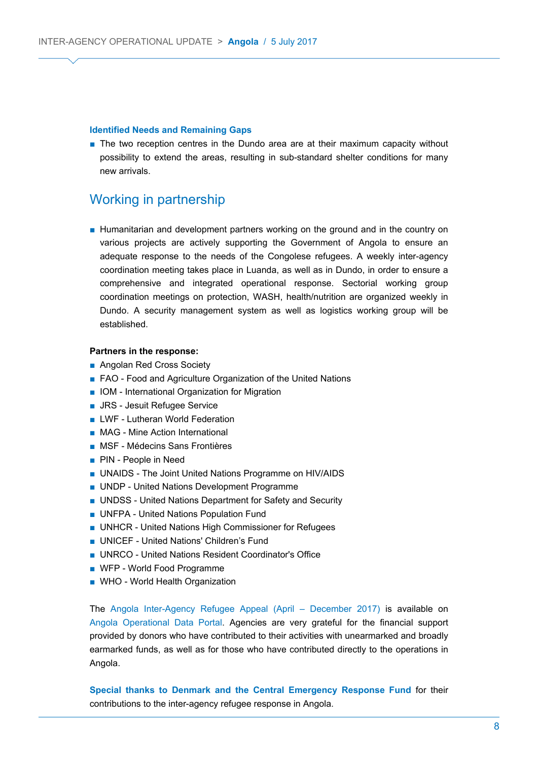#### **Identified Needs and Remaining Gaps**

■ The two reception centres in the Dundo area are at their maximum capacity without possibility to extend the areas, resulting in sub-standard shelter conditions for many new arrivals.

### Working in partnership

■ Humanitarian and development partners working on the ground and in the country on various projects are actively supporting the Government of Angola to ensure an adequate response to the needs of the Congolese refugees. A weekly inter-agency coordination meeting takes place in Luanda, as well as in Dundo, in order to ensure a comprehensive and integrated operational response. Sectorial working group coordination meetings on protection, WASH, health/nutrition are organized weekly in Dundo. A security management system as well as logistics working group will be established.

#### **Partners in the response:**

- Angolan Red Cross Society
- FAO Food and Agriculture Organization of the United Nations
- IOM International Organization for Migration
- JRS Jesuit Refugee Service
- LWF Lutheran World Federation
- MAG Mine Action International
- MSF Médecins Sans Frontières
- PIN People in Need
- UNAIDS The Joint United Nations Programme on HIV/AIDS
- UNDP United Nations Development Programme
- UNDSS United Nations Department for Safety and Security
- UNFPA United Nations Population Fund
- UNHCR United Nations High Commissioner for Refugees
- UNICEF United Nations' Children's Fund
- UNRCO United Nations Resident Coordinator's Office
- WFP World Food Programme
- WHO World Health Organization

The [Angola Inter-Agency Refugee Appeal \(April – December 2017\)](http://reporting.unhcr.org/sites/default/files/Angola%2520Inter-Agency%2520Refugee%2520Appeal%2520-%2520Apr-Dec%25202017%2520--%252012%2520June%25202017.pdf) is available on [Angola Operational Data Portal.](https://data2.unhcr.org/en/country/ago) Agencies are very grateful for the financial support provided by donors who have contributed to their activities with unearmarked and broadly earmarked funds, as well as for those who have contributed directly to the operations in Angola.

**Special thanks to Denmark and the Central Emergency Response Fund** for their contributions to the inter-agency refugee response in Angola.